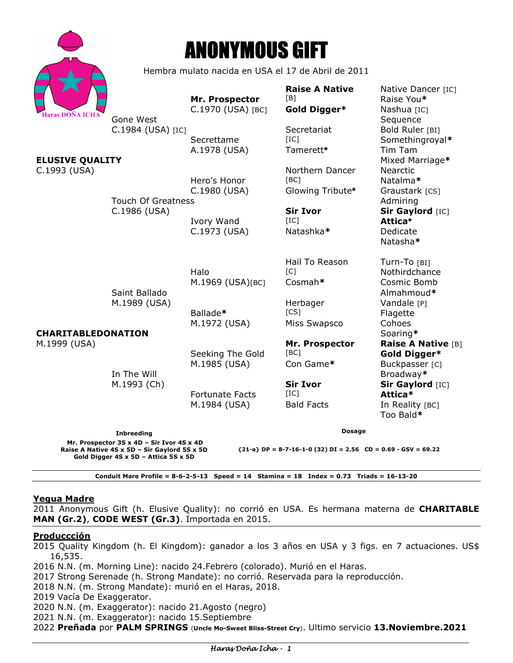

# ANONYMOUS GIFT

Hembra mulato nacida en USA el 17 de Abril de 2011

**Raise A Native**  Native Dancer [IC] **Mr. Prospector** [B] Raise You\* [aras DOÑA ICHA **C.1970** (USA) [BC] **Gold Digger\*** Nashua [IC] Gone West **Sequence** C.1984 (USA) [IC] Secretariat Bold Ruler [BI] Secrettame [IC] Secrettame **Somethingroyal**\* A.1978 (USA) Tamerett<sup>\*</sup> Tim Tam **ELUSIVE QUALITY Mixtual Account of the Mixed Marriage\* Mixed Marriage\*** C.1993 (USA) **Northern Dancer** Nearctic Nearctic Nearctic Nearctic Nearctic Nearctic Nearctic Nearctic Nearctic Hero's Honor [BC] Natalma**\***  C.1980 (USA) Glowing Tribute**\*** Graustark [CS] Touch Of Greatness **Admiring Admiring** C.1986 (USA) **Sir Ivor Sir Gaylord** [IC] Ivory Wand [IC] **Attica\*** C.1973 (USA) Natashka**\*** Dedicate Natasha**\*** Hail To Reason Turn-To [BI] Halo [C] Nothirdchance M.1969 (USA)[BC] Cosmah**\*** Cosmic Bomb Saint Ballado **Almahmoud**\* M.1989 (USA) **Herbager** Vandale [P] Ballade**\*** [CS] Flagette M.1972 (USA) Miss Swapsco Cohoes **CHARITABLEDONATION** Soaring**\*** M.1999 (USA) **Mr. Prospector Raise A Native** [B] Seeking The Gold [BC] **Gold Digger\***  M.1985 (USA) Con Game**\*** Buckpasser [C] In The Will Broadway**\*** M.1993 (Ch) **Sir Ivor Sir Gaylord** [IC] Fortunate Facts [IC] **Attica\***  M.1984 (USA) Bald Facts In Reality [BC] Too Bald**\* Dosage** 

**Inbreeding Mr. Prospector 3S x 4D – Sir Ivor 4S x 4D Raise A Native 4S x 5D – Sir Gaylord 5S x 5D Gold Digger 4S x 5D – Attica 5S x 5D** 

**{21-a} DP = 8-7-16-1-0 (32) DI = 2.56 CD = 0.69 - GSV = 69.22** 

**Conduit Mare Profile = 8-6-2-5-13 Speed = 14 Stamina = 18 Index = 0.73 Triads = 16-13-20** 

# **Yegua Madre**

2011 Anonymous Gift (h. Elusive Quality): no corrió en USA. Es hermana materna de **CHARITABLE MAN (Gr.2)**, **CODE WEST (Gr.3)**. Importada en 2015.

## **Produccción**

2015 Quality Kingdom (h. El Kingdom): ganador a los 3 años en USA y 3 figs. en 7 actuaciones. US\$ 16,535.

2016 N.N. (m. Morning Line): nacido 24.Febrero (colorado). Murió en el Haras.

2017 Strong Serenade (h. Strong Mandate): no corrió. Reservada para la reproducción.

2018 N.N. (m. Strong Mandate): murió en el Haras, 2018.

2019 Vacía De Exaggerator.

2020 N.N. (m. Exaggerator): nacido 21.Agosto (negro)

2021 N.N. (m. Exaggerator): nacido 15.Septiembre

2022 **Preñada** por **PALM SPRINGS** (**Uncle Mo-Sweet Bliss-Street Cry**). Ultimo servicio **13.Noviembre.2021**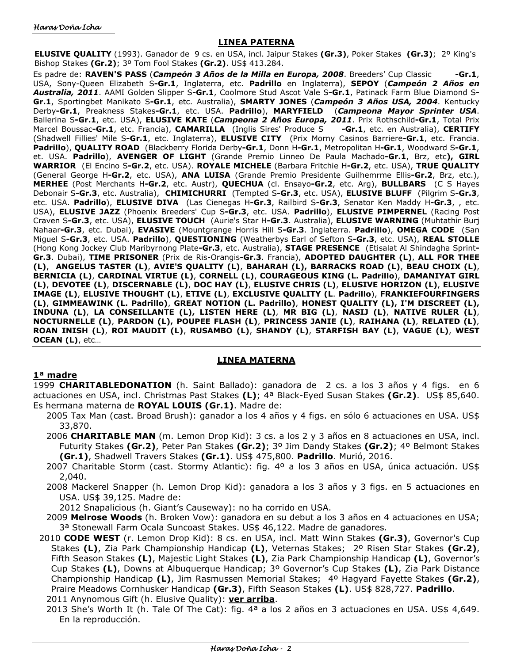#### **LINEA PATERNA**

**ELUSIVE QUALITY** (1993). Ganador de 9 cs. en USA, incl. Jaipur Stakes **(Gr.3)**, Poker Stakes **(Gr.3)**; 2º King's Bishop Stakes **(Gr.2)**; 3º Tom Fool Stakes **(Gr.2)**. US\$ 413.284.

Es padre de: **RAVEN'S PASS** (*Campeón 3 Años de la Milla en Europa, 2008*. Breeders' Cup Classic **-Gr.1**, USA, Sony-Queen Elizabeth S**-Gr.1**, Inglaterra, etc. **Padrillo** en Inglaterra), **SEPOY** (*Campeón 2 Años en Australia, 2011*. AAMI Golden Slipper S**-Gr.1**, Coolmore Stud Ascot Vale S**-Gr.1**, Patinack Farm Blue Diamond S**-Gr.1**, Sportingbet Manikato S**-Gr.1**, etc. Australia), **SMARTY JONES** (*Campeón 3 Años USA, 2004*. Kentucky Derby**-Gr.1**, Preakness Stakes**-Gr.1**, etc. USA. **Padrillo**), **MARYFIELD** (*Campeona Mayor Sprinter USA*. Ballerina S**-Gr.1**, etc. USA), **ELUSIVE KATE** (*Campeona 2 Años Europa, 2011*. Prix Rothschild**-Gr.1**, Total Prix Marcel Boussac**-Gr.1**, etc. Francia), **CAMARILLA** (Inglis Sires' Produce S **-Gr.1**, etc. en Australia), **CERTIFY**  (Shadwell Fillies' Mile S**-Gr.1**, etc. Inglaterra), **ELUSIVE CITY** (Prix Morny Casinos Barriere**-Gr.1**, etc. Francia. **Padrillo**), **QUALITY ROAD** (Blackberry Florida Derby**-Gr.1**, Donn H**-Gr.1**, Metropolitan H**-Gr.1**, Woodward S**-Gr.1**, et. USA. **Padrillo**), **AVENGER OF LIGHT** (Grande Premio Linneo De Paula Machado**-Gr.1**, Brz, etc**), GIRL WARRIOR** (El Encino S**-Gr.2**, etc. USA). **ROYALE MICHELE** (Barbara Fritchie H**-Gr.2**, etc. USA), **TRUE QUALITY**  (General George H**-Gr.2**, etc. USA), **ANA LUISA** (Grande Premio Presidente Guilhemrme Ellis**-Gr.2**, Brz, etc.), **MERHEE** (Post Merchants H**-Gr.2**, etc. Austr), **QUECHUA** (cl. Ensayo**-Gr.2**, etc. Arg), **BULLBARS** (C S Hayes Debonair S**-Gr.3**, etc. Australia), **CHIMICHURRI** (Tempted S**-Gr.3**, etc. USA), **ELUSIVE BLUFF** (Pilgrim S**-Gr.3**, etc. USA. **Padrillo**), **ELUSIVE DIVA** (Las Cienegas H**-Gr.3**, Railbird S**-Gr.3**, Senator Ken Maddy H**-Gr.3**, , etc. USA), **ELUSIVE JAZZ** (Phoenix Breeders' Cup S**-Gr.3**, etc. USA. **Padrillo**), **ELUSIVE PIMPERNEL** (Racing Post Craven S**-Gr.3**, etc. USA), **ELUSIVE TOUCH** (Aurie's Star H**-Gr.3**. Australia), **ELUSIVE WARNING** (Muhtathir Burj Nahaar**-Gr.3**, etc. Dubai), **EVASIVE** (Mountgrange Horris Hill S**-Gr.3**. Inglaterra. **Padrillo**), **OMEGA CODE** (San Miguel S**-Gr.3**, etc. USA. **Padrillo**), **QUESTIONING** (Weatherbys Earl of Sefton S**-Gr.3**, etc. USA), **REAL STOLLE**  (Hong Kong Jockey Club Maribyrnong Plate**-Gr.3**, etc. Australia), **STAGE PRESENCE** (Etisalat Al Shindagha Sprint**-Gr.3**. Dubai), **TIME PRISONER** (Prix de Ris-Orangis**-Gr.3**. Francia), **ADOPTED DAUGHTER (L)**, **ALL FOR THEE (L)**, **ANGELUS TASTER (L)**, **AVIE'S QUALITY (L)**, **BAHARAH (L), BARRACKS ROAD (L)**, **BEAU CHOIX (L)**, **BERNICIA (L)**, **CARDINAL VIRTUE (L)**, **CORNELL (L)**, **COURAGEOUS KING (L. Padrillo**), **DAMANIYAT GIRL (L)**, **DEVOTEE (L)**, **DISCERNABLE (L)**, **DOC HAY (L)**, **ELUSIVE CHRIS (L)**, **ELUSIVE HORIZON (L)**, **ELUSIVE IMAGE (L)**, **ELUSIVE THOUGHT (L)**, **ETIVE (L)**, **EXCLUSIVE QUALITY (L**. **Padrillo**), **FRANKIEFOURFINGERS (L)**, **GIMMEAWINK (L. Padrillo)**, **GREAT NOTION (L. Padrillo)**, **HONEST QUALITY (L), I'M DISCREET (L), INDUNA (L)**, **LA CONSEILLANTE (L), LISTEN HERE (L)**, **MR BIG (L)**, **NASIJ (L)**, **NATIVE RULER (L)**, **NOCTURNELLE (L)**, **PARDON (L), POUPEE FLASH (L)**, **PRINCESS JANIE (L)**, **RAIHANA (L)**, **RELATED (L)**, **ROAN INISH (L)**, **ROI MAUDIT (L)**, **RUSAMBO (L)**, **SHANDY (L)**, **STARFISH BAY (L)**, **VAGUE (L)**, **WEST OCEAN (L)**, etc…

### **LINEA MATERNA**

### **1ª madre**

1999 **CHARITABLEDONATION** (h. Saint Ballado): ganadora de 2 cs. a los 3 años y 4 figs. en 6 actuaciones en USA, incl. Christmas Past Stakes **(L)**; 4ª Black-Eyed Susan Stakes **(Gr.2)**. US\$ 85,640. Es hermana materna de **ROYAL LOUIS (Gr.1)**. Madre de:

- 2005 Tax Man (cast. Broad Brush): ganador a los 4 años y 4 figs. en sólo 6 actuaciones en USA. US\$ 33,870.
- 2006 **CHARITABLE MAN** (m. Lemon Drop Kid): 3 cs. a los 2 y 3 años en 8 actuaciones en USA, incl. Futurity Stakes **(Gr.2)**, Peter Pan Stakes **(Gr.2)**; 3º Jim Dandy Stakes **(Gr.2)**; 4º Belmont Stakes **(Gr.1)**, Shadwell Travers Stakes **(Gr.1)**. US\$ 475,800. **Padrillo**. Murió, 2016.
- 2007 Charitable Storm (cast. Stormy Atlantic): fig. 4º a los 3 años en USA, única actuación. US\$ 2,040.
- 2008 Mackerel Snapper (h. Lemon Drop Kid): ganadora a los 3 años y 3 figs. en 5 actuaciones en USA. US\$ 39,125. Madre de:

2012 Snapalicious (h. Giant's Causeway): no ha corrido en USA.

- 2009 **Melrose Woods** (h. Broken Vow): ganadora en su debut a los 3 años en 4 actuaciones en USA; 3ª Stonewall Farm Ocala Suncoast Stakes. US\$ 46,122. Madre de ganadores.
- 2010 **CODE WEST** (r. Lemon Drop Kid): 8 cs. en USA, incl. Matt Winn Stakes **(Gr.3)**, Governor's Cup Stakes **(L)**, Zia Park Championship Handicap **(L)**, Veternas Stakes; 2º Risen Star Stakes **(Gr.2)**, Fifth Season Stakes **(L)**, Majestic Light Stakes **(L)**, Zia Park Championship Handicap **(L)**, Governor's Cup Stakes **(L)**, Downs at Albuquerque Handicap; 3º Governor's Cup Stakes **(L)**, Zia Park Distance Championship Handicap **(L)**, Jim Rasmussen Memorial Stakes; 4º Hagyard Fayette Stakes **(Gr.2)**, Praire Meadows Cornhusker Handicap **(Gr.3)**, Fifth Season Stakes **(L)**. US\$ 828,727. **Padrillo**. 2011 Anynomous Gift (h. Elusive Quality): **ver arriba**.
	- 2013 She's Worth It (h. Tale Of The Cat): fig. 4ª a los 2 años en 3 actuaciones en USA. US\$ 4,649. En la reproducción.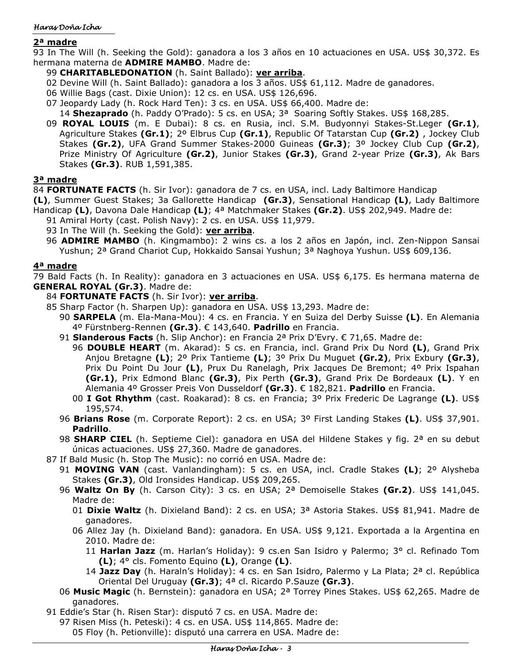## Haras Doña Icha

# **2ª madre**

93 In The Will (h. Seeking the Gold): ganadora a los 3 años en 10 actuaciones en USA. US\$ 30,372. Es hermana materna de **ADMIRE MAMBO**. Madre de:

# 99 **CHARITABLEDONATION** (h. Saint Ballado): **ver arriba**.

- 02 Devine Will (h. Saint Ballado): ganadora a los 3 años. US\$ 61,112. Madre de ganadores.
- 06 Willie Bags (cast. Dixie Union): 12 cs. en USA. US\$ 126,696.
- 07 Jeopardy Lady (h. Rock Hard Ten): 3 cs. en USA. US\$ 66,400. Madre de:

14 Shezaprado (h. Paddy O'Prado): 5 cs. en USA; 3<sup>a</sup> Soaring Softly Stakes. US\$ 168,285.

09 **ROYAL LOUIS** (m. E Dubai): 8 cs. en Rusia, incl. S.M. Budyonnyi Stakes-St.Leger **(Gr.1)**, Agriculture Stakes **(Gr.1)**; 2º Elbrus Cup **(Gr.1)**, Republic Of Tatarstan Cup **(Gr.2)** , Jockey Club Stakes **(Gr.2)**, UFA Grand Summer Stakes-2000 Guineas **(Gr.3)**; 3º Jockey Club Cup **(Gr.2)**, Prize Ministry Of Agriculture **(Gr.2)**, Junior Stakes **(Gr.3)**, Grand 2-year Prize **(Gr.3)**, Ak Bars Stakes **(Gr.3)**. RUB 1,591,385.

# **3ª madre**

84 **FORTUNATE FACTS** (h. Sir Ivor): ganadora de 7 cs. en USA, incl. Lady Baltimore Handicap

**(L)**, Summer Guest Stakes; 3a Gallorette Handicap **(Gr.3)**, Sensational Handicap **(L)**, Lady Baltimore Handicap **(L)**, Davona Dale Handicap **(L)**; 4ª Matchmaker Stakes **(Gr.2)**. US\$ 202,949. Madre de:

- 91 Amiral Horty (cast. Polish Navy): 2 cs. en USA. US\$ 11,979.
- 93 In The Will (h. Seeking the Gold): **ver arriba**.
- 96 **ADMIRE MAMBO** (h. Kingmambo): 2 wins cs. a los 2 años en Japón, incl. Zen-Nippon Sansai Yushun; 2ª Grand Chariot Cup, Hokkaido Sansai Yushun; 3ª Naghoya Yushun. US\$ 609,136.

## **4ª madre**

79 Bald Facts (h. In Reality): ganadora en 3 actuaciones en USA. US\$ 6,175. Es hermana materna de **GENERAL ROYAL (Gr.3)**. Madre de:

- 84 **FORTUNATE FACTS** (h. Sir Ivor): **ver arriba**.
- 85 Sharp Factor (h. Sharpen Up): ganadora en USA. US\$ 13,293. Madre de:
	- 90 **SARPELA** (m. Ela-Mana-Mou): 4 cs. en Francia. Y en Suiza del Derby Suisse **(L)**. En Alemania 4º Fürstnberg-Rennen **(Gr.3)**. € 143,640. **Padrillo** en Francia.
	- 91 **Slanderous Facts** (h. Slip Anchor): en Francia 2ª Prix D'Evry. € 71,65. Madre de:
		- 96 **DOUBLE HEART** (m. Akarad): 5 cs. en Francia, incl. Grand Prix Du Nord **(L)**, Grand Prix Anjou Bretagne **(L)**; 2º Prix Tantieme **(L)**; 3º Prix Du Muguet **(Gr.2)**, Prix Exbury **(Gr.3)**, Prix Du Point Du Jour **(L)**, Prux Du Ranelagh, Prix Jacques De Bremont; 4º Prix Ispahan **(Gr.1)**, Prix Edmond Blanc **(Gr.3)**, Pix Perth **(Gr.3)**, Grand Prix De Bordeaux **(L)**. Y en Alemania 4º Grosser Preis Von Dusseldorf **(Gr.3)**. € 182,821. **Padrillo** en Francia.
		- 00 **I Got Rhythm** (cast. Roakarad): 8 cs. en Francia; 3º Prix Frederic De Lagrange **(L)**. US\$ 195,574.
	- 96 **Brians Rose** (m. Corporate Report): 2 cs. en USA; 3º First Landing Stakes **(L)**. US\$ 37,901. **Padrillo**.
	- 98 **SHARP CIEL** (h. Septieme Ciel): ganadora en USA del Hildene Stakes y fig. 2ª en su debut únicas actuaciones. US\$ 27,360. Madre de ganadores.
- 87 If Bald Music (h. Stop The Music): no corrió en USA. Madre de:
	- 91 **MOVING VAN** (cast. Vanlandingham): 5 cs. en USA, incl. Cradle Stakes **(L)**; 2º Alysheba Stakes **(Gr.3)**, Old Ironsides Handicap. US\$ 209,265.
	- 96 **Waltz On By** (h. Carson City): 3 cs. en USA; 2ª Demoiselle Stakes **(Gr.2)**. US\$ 141,045. Madre de:
		- 01 **Dixie Waltz** (h. Dixieland Band): 2 cs. en USA; 3ª Astoria Stakes. US\$ 81,941. Madre de ganadores.
		- 06 Allez Jay (h. Dixieland Band): ganadora. En USA. US\$ 9,121. Exportada a la Argentina en 2010. Madre de:
			- 11 **Harlan Jazz** (m. Harlan's Holiday): 9 cs.en San Isidro y Palermo; 3° cl. Refinado Tom **(L)**; 4° cls. Fomento Equino **(L)**, Orange **(L)**.
			- 14 **Jazz Day** (h. Haraln's Holiday): 4 cs. en San Isidro, Palermo y La Plata; 2ª cl. República Oriental Del Uruguay **(Gr.3)**; 4ª cl. Ricardo P.Sauze **(Gr.3)**.
	- 06 **Music Magic** (h. Bernstein): ganadora en USA; 2ª Torrey Pines Stakes. US\$ 62,265. Madre de ganadores.
- 91 Eddie's Star (h. Risen Star): disputó 7 cs. en USA. Madre de:
	- 97 Risen Miss (h. Peteski): 4 cs. en USA. US\$ 114,865. Madre de: 05 Floy (h. Petionville): disputó una carrera en USA. Madre de: